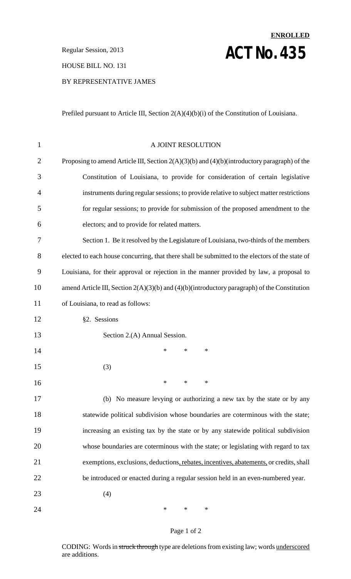**Regular Session, 2013 ACT NO. 435** 

HOUSE BILL NO. 131

#### BY REPRESENTATIVE JAMES

Prefiled pursuant to Article III, Section 2(A)(4)(b)(i) of the Constitution of Louisiana.

**ENROLLED**

| $\mathbf 1$    | A JOINT RESOLUTION                                                                                |
|----------------|---------------------------------------------------------------------------------------------------|
| $\overline{2}$ | Proposing to amend Article III, Section $2(A)(3)(b)$ and $(4)(b)$ (introductory paragraph) of the |
| 3              | Constitution of Louisiana, to provide for consideration of certain legislative                    |
| 4              | instruments during regular sessions; to provide relative to subject matter restrictions           |
| 5              | for regular sessions; to provide for submission of the proposed amendment to the                  |
| 6              | electors; and to provide for related matters.                                                     |
| 7              | Section 1. Be it resolved by the Legislature of Louisiana, two-thirds of the members              |
| 8              | elected to each house concurring, that there shall be submitted to the electors of the state of   |
| 9              | Louisiana, for their approval or rejection in the manner provided by law, a proposal to           |
| 10             | amend Article III, Section $2(A)(3)(b)$ and $(4)(b)$ (introductory paragraph) of the Constitution |
| 11             | of Louisiana, to read as follows:                                                                 |
| 12             | §2. Sessions                                                                                      |
| 13             | Section 2.(A) Annual Session.                                                                     |
| 14             | $\ast$<br>*<br>*                                                                                  |
| 15             | (3)                                                                                               |
| 16             | $\ast$<br>∗<br>*                                                                                  |
| 17             | (b) No measure levying or authorizing a new tax by the state or by any                            |
| 18             | statewide political subdivision whose boundaries are coterminous with the state;                  |
| 19             | increasing an existing tax by the state or by any statewide political subdivision                 |
| 20             | whose boundaries are coterminous with the state; or legislating with regard to tax                |
| 21             | exemptions, exclusions, deductions, rebates, incentives, abatements, or credits, shall            |
| 22             | be introduced or enacted during a regular session held in an even-numbered year.                  |
| 23             | (4)                                                                                               |
| 24             | $\ast$<br>*<br>$\ast$                                                                             |

#### Page 1 of 2

CODING: Words in struck through type are deletions from existing law; words underscored are additions.